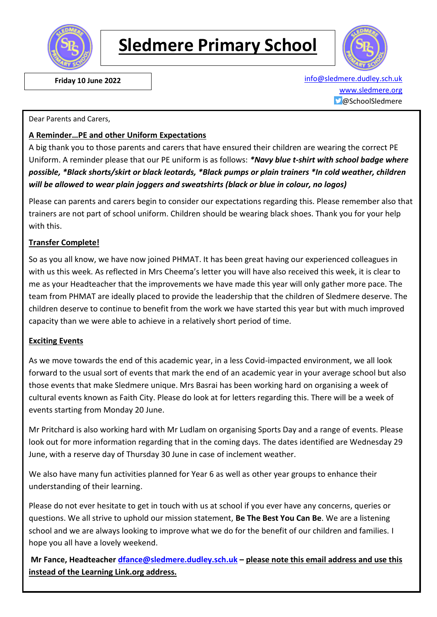

# **Sledmere Primary School**



 **Friday 10 June 2022** [info@sledmere.dudley.sch.uk](mailto:info@sledmere.dudley.sch.uk) [www.sledmere.org](http://www.sledmere.org/) @SchoolSledmere

#### Dear Parents and Carers,

### **A Reminder…PE and other Uniform Expectations**

A big thank you to those parents and carers that have ensured their children are wearing the correct PE Uniform. A reminder please that our PE uniform is as follows: *\*Navy blue t-shirt with school badge where possible, \*Black shorts/skirt or black leotards, \*Black pumps or plain trainers \*In cold weather, children will be allowed to wear plain joggers and sweatshirts (black or blue in colour, no logos)*

Please can parents and carers begin to consider our expectations regarding this. Please remember also that trainers are not part of school uniform. Children should be wearing black shoes. Thank you for your help with this.

### **Transfer Complete!**

So as you all know, we have now joined PHMAT. It has been great having our experienced colleagues in with us this week. As reflected in Mrs Cheema's letter you will have also received this week, it is clear to me as your Headteacher that the improvements we have made this year will only gather more pace. The team from PHMAT are ideally placed to provide the leadership that the children of Sledmere deserve. The children deserve to continue to benefit from the work we have started this year but with much improved capacity than we were able to achieve in a relatively short period of time.

#### **Exciting Events**

As we move towards the end of this academic year, in a less Covid-impacted environment, we all look forward to the usual sort of events that mark the end of an academic year in your average school but also those events that make Sledmere unique. Mrs Basrai has been working hard on organising a week of cultural events known as Faith City. Please do look at for letters regarding this. There will be a week of events starting from Monday 20 June.

Mr Pritchard is also working hard with Mr Ludlam on organising Sports Day and a range of events. Please look out for more information regarding that in the coming days. The dates identified are Wednesday 29 June, with a reserve day of Thursday 30 June in case of inclement weather.

We also have many fun activities planned for Year 6 as well as other year groups to enhance their understanding of their learning.

Please do not ever hesitate to get in touch with us at school if you ever have any concerns, queries or questions. We all strive to uphold our mission statement, **Be The Best You Can Be**. We are a listening school and we are always looking to improve what we do for the benefit of our children and families. I hope you all have a lovely weekend.

**Mr Fance, Headteacher [dfance@sledmere.dudley.sch.uk](mailto:dfance@sledmere.dudley.sch.uk) – please note this email address and use this instead of the Learning Link.org address.**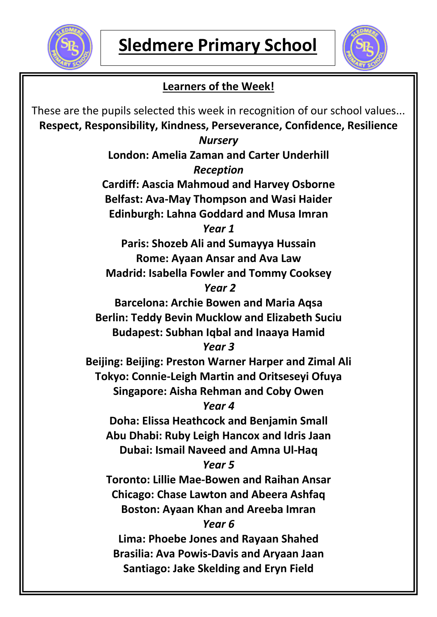



## **Learners of the Week!**

These are the pupils selected this week in recognition of our school values... **Respect, Responsibility, Kindness, Perseverance, Confidence, Resilience** *Nursery* **London: Amelia Zaman and Carter Underhill** *Reception* **Cardiff: Aascia Mahmoud and Harvey Osborne Belfast: Ava-May Thompson and Wasi Haider Edinburgh: Lahna Goddard and Musa Imran** *Year 1* **Paris: Shozeb Ali and Sumayya Hussain Rome: Ayaan Ansar and Ava Law Madrid: Isabella Fowler and Tommy Cooksey** *Year 2* **Barcelona: Archie Bowen and Maria Aqsa Berlin: Teddy Bevin Mucklow and Elizabeth Suciu Budapest: Subhan Iqbal and Inaaya Hamid** *Year 3* **Beijing: Beijing: Preston Warner Harper and Zimal Ali Tokyo: Connie-Leigh Martin and Oritseseyi Ofuya Singapore: Aisha Rehman and Coby Owen** *Year 4* **Doha: Elissa Heathcock and Benjamin Small Abu Dhabi: Ruby Leigh Hancox and Idris Jaan Dubai: Ismail Naveed and Amna Ul-Haq** *Year 5* **Toronto: Lillie Mae-Bowen and Raihan Ansar Chicago: Chase Lawton and Abeera Ashfaq Boston: Ayaan Khan and Areeba Imran** *Year 6* **Lima: Phoebe Jones and Rayaan Shahed Brasilia: Ava Powis-Davis and Aryaan Jaan Santiago: Jake Skelding and Eryn Field**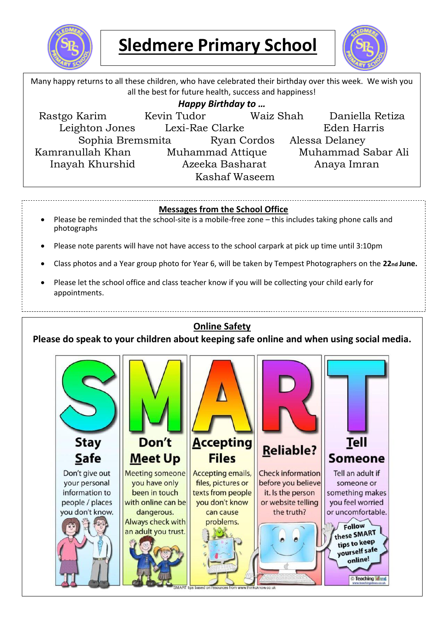

# **Sledmere Primary School**



Many happy returns to all these children, who have celebrated their birthday over this week. We wish you all the best for future health, success and happiness! *Happy Birthday to …* Rastgo Karim Kevin Tudor Waiz Shah Daniella Retiza Leighton Jones Lexi-Rae Clarke Eden Harris Sophia Bremsmita Ryan Cordos Alessa Delaney Kamranullah Khan Muhammad Attique Muhammad Sabar Ali Inayah Khurshid Azeeka Basharat Anaya Imran Kashaf Waseem

### **Messages from the School Office**

- Please be reminded that the school-site is a mobile-free zone this includes taking phone calls and photographs
- Please note parents will have not have access to the school carpark at pick up time until 3:10pm
- Class photos and a Year group photo for Year 6, will be taken by Tempest Photographers on the **22nd June.**
- Please let the school office and class teacher know if you will be collecting your child early for appointments.